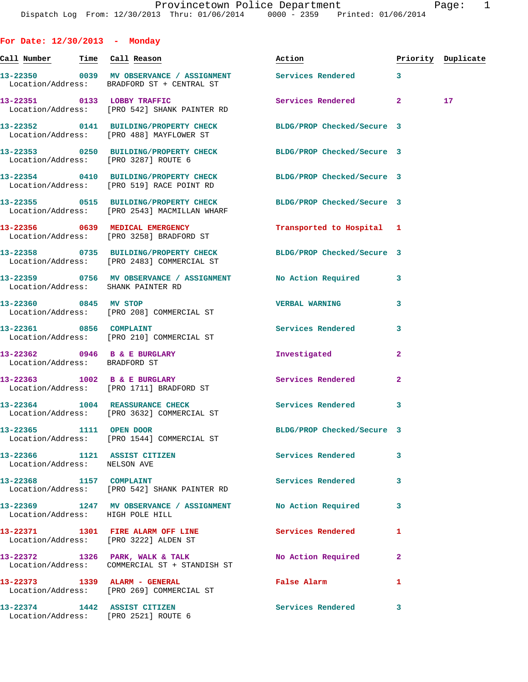| ſE |  |
|----|--|
|    |  |

| For Date: $12/30/2013$ - Monday                                      |                                                                                                                |                            |              |                    |
|----------------------------------------------------------------------|----------------------------------------------------------------------------------------------------------------|----------------------------|--------------|--------------------|
| <u>Call Number — Time Call Reason</u>                                |                                                                                                                | Action                     |              | Priority Duplicate |
|                                                                      | 13-22350 0039 MV OBSERVANCE / ASSIGNMENT Services Rendered 3<br>Location/Address: BRADFORD ST + CENTRAL ST     |                            |              |                    |
|                                                                      | 13-22351 0133 LOBBY TRAFFIC<br>Location/Address: [PRO 542] SHANK PAINTER RD                                    | Services Rendered 2        |              | 17 <sub>1</sub>    |
|                                                                      | 13-22352 0141 BUILDING/PROPERTY CHECK BLDG/PROP Checked/Secure 3<br>Location/Address: [PRO 488] MAYFLOWER ST   |                            |              |                    |
|                                                                      | 13-22353 0250 BUILDING/PROPERTY CHECK BLDG/PROP Checked/Secure 3<br>Location/Address: [PRO 3287] ROUTE 6       |                            |              |                    |
|                                                                      | 13-22354 0410 BUILDING/PROPERTY CHECK BLDG/PROP Checked/Secure 3<br>Location/Address: [PRO 519] RACE POINT RD  |                            |              |                    |
|                                                                      | 13-22355 0515 BUILDING/PROPERTY CHECK<br>Location/Address: [PRO 2543] MACMILLAN WHARF                          | BLDG/PROP Checked/Secure 3 |              |                    |
|                                                                      | 13-22356 0639 MEDICAL EMERGENCY<br>Location/Address: [PRO 3258] BRADFORD ST                                    | Transported to Hospital 1  |              |                    |
|                                                                      | 13-22358 0735 BUILDING/PROPERTY CHECK BLDG/PROP Checked/Secure 3<br>Location/Address: [PRO 2483] COMMERCIAL ST |                            |              |                    |
| Location/Address: SHANK PAINTER RD                                   | 13-22359 0756 MV OBSERVANCE / ASSIGNMENT                                                                       | No Action Required         | 3            |                    |
| 13-22360 0845 MV STOP                                                | Location/Address: [PRO 208] COMMERCIAL ST                                                                      | <b>VERBAL WARNING</b>      | 3            |                    |
|                                                                      | 13-22361 0856 COMPLAINT<br>Location/Address: [PRO 210] COMMERCIAL ST                                           | <b>Services Rendered</b>   | 3            |                    |
| Location/Address: BRADFORD ST                                        | 13-22362 0946 B & E BURGLARY                                                                                   | Investigated               | $\mathbf{2}$ |                    |
|                                                                      | 13-22363 1002 B & E BURGLARY<br>Location/Address: [PRO 1711] BRADFORD ST                                       | Services Rendered          | $\mathbf{2}$ |                    |
|                                                                      | 13-22364 1004 REASSURANCE CHECK<br>Location/Address: [PRO 3632] COMMERCIAL ST                                  | Services Rendered          | 3            |                    |
| 13-22365 1111 OPEN DOOR                                              | Location/Address: [PRO 1544] COMMERCIAL ST                                                                     | BLDG/PROP Checked/Secure 3 |              |                    |
| $13-22366$ 1121 ASSIST CITIZEN<br>Location/Address: NELSON AVE       |                                                                                                                | <b>Services Rendered</b>   | 3            |                    |
|                                                                      | 13-22368 1157 COMPLAINT<br>Location/Address: [PRO 542] SHANK PAINTER RD                                        | Services Rendered          | 3            |                    |
| Location/Address: HIGH POLE HILL                                     | 13-22369 1247 MV OBSERVANCE / ASSIGNMENT No Action Required                                                    |                            | 3            |                    |
| Location/Address: [PRO 3222] ALDEN ST                                | 13-22371 1301 FIRE ALARM OFF LINE                                                                              | Services Rendered          | 1            |                    |
|                                                                      | 13-22372 1326 PARK, WALK & TALK<br>Location/Address: COMMERCIAL ST + STANDISH ST                               | <b>No Action Required</b>  | $\mathbf{2}$ |                    |
|                                                                      | 13-22373 1339 ALARM - GENERAL<br>Location/Address: [PRO 269] COMMERCIAL ST                                     | False Alarm                | 1            |                    |
| 13-22374 1442 ASSIST CITIZEN<br>Location/Address: [PRO 2521] ROUTE 6 |                                                                                                                | Services Rendered 3        |              |                    |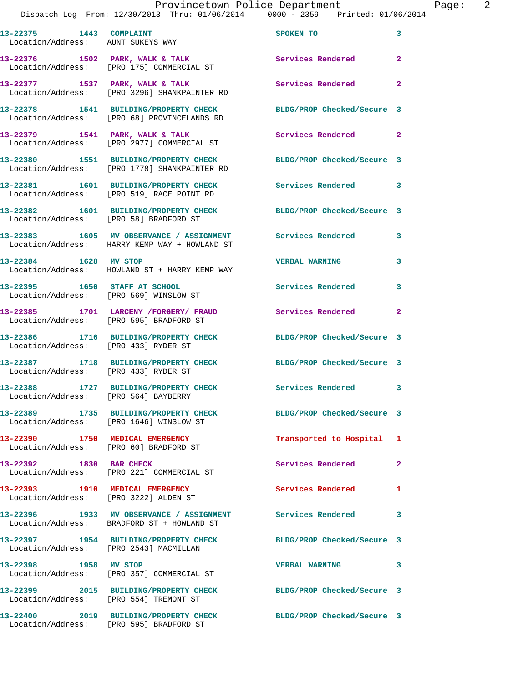## Provincetown Police Department Page: 2

Dispatch Log From: 12/30/2013 Thru: 01/06/2014 0000 - 2359 Printed: 01/06/2014

**13-22375 1443 COMPLAINT SPOKEN TO 3**  Location/Address: AUNT SUKEYS WAY **13-22376 1502 PARK, WALK & TALK Services Rendered 2**  Location/Address: [PRO 175] COMMERCIAL ST **13-22377 1537 PARK, WALK & TALK Services Rendered 2**  Location/Address: [PRO 3296] SHANKPAINTER RD **13-22378 1541 BUILDING/PROPERTY CHECK BLDG/PROP Checked/Secure 3**  Location/Address: [PRO 68] PROVINCELANDS RD 13-22379 1541 PARK, WALK & TALK **Services Rendered** 2 Location/Address: [PRO 2977] COMMERCIAL ST **13-22380 1551 BUILDING/PROPERTY CHECK BLDG/PROP Checked/Secure 3**  Location/Address: [PRO 1778] SHANKPAINTER RD **13-22381 1601 BUILDING/PROPERTY CHECK Services Rendered 3**  Location/Address: [PRO 519] RACE POINT RD **13-22382 1601 BUILDING/PROPERTY CHECK BLDG/PROP Checked/Secure 3**  Location/Address: [PRO 58] BRADFORD ST **13-22383 1605 MV OBSERVANCE / ASSIGNMENT Services Rendered 3**  Location/Address: HARRY KEMP WAY + HOWLAND ST **13-22384 1628 MV STOP VERBAL WARNING 3**  Location/Address: HOWLAND ST + HARRY KEMP WAY **13-22395 1650 STAFF AT SCHOOL Services Rendered 3**  Location/Address: [PRO 569] WINSLOW ST **13-22385 1701 LARCENY /FORGERY/ FRAUD Services Rendered 2**  Location/Address: [PRO 595] BRADFORD ST **13-22386 1716 BUILDING/PROPERTY CHECK BLDG/PROP Checked/Secure 3**  Location/Address: [PRO 433] RYDER ST **13-22387 1718 BUILDING/PROPERTY CHECK BLDG/PROP Checked/Secure 3**  Location/Address: [PRO 433] RYDER ST **13-22388 1727 BUILDING/PROPERTY CHECK Services Rendered 3**  Location/Address: [PRO 564] BAYBERRY **13-22389 1735 BUILDING/PROPERTY CHECK BLDG/PROP Checked/Secure 3**  Location/Address: [PRO 1646] WINSLOW ST **13-22390 1750 MEDICAL EMERGENCY Transported to Hospital 1**  Location/Address: [PRO 60] BRADFORD ST **13-22392 1830 BAR CHECK Services Rendered 2**  Location/Address: [PRO 221] COMMERCIAL ST **13-22393 1910 MEDICAL EMERGENCY Services Rendered 1**  Location/Address: [PRO 3222] ALDEN ST **13-22396 1933 MV OBSERVANCE / ASSIGNMENT Services Rendered 3**  Location/Address: BRADFORD ST + HOWLAND ST **13-22397 1954 BUILDING/PROPERTY CHECK BLDG/PROP Checked/Secure 3**  Location/Address: [PRO 2543] MACMILLAN **13-22398 1958 MV STOP VERBAL WARNING 3**  Location/Address: [PRO 357] COMMERCIAL ST **13-22399 2015 BUILDING/PROPERTY CHECK BLDG/PROP Checked/Secure 3**  Location/Address: [PRO 554] TREMONT ST **13-22400 2019 BUILDING/PROPERTY CHECK BLDG/PROP Checked/Secure 3** 

Location/Address: [PRO 595] BRADFORD ST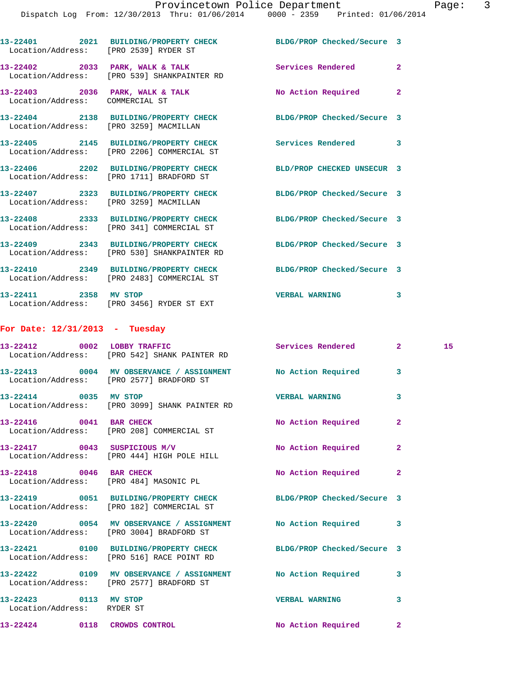|                                  | 13-22401 2021 BUILDING/PROPERTY CHECK BLDG/PROP Checked/Secure 3<br>Location/Address: [PRO 2539] RYDER ST      |                            |                |    |
|----------------------------------|----------------------------------------------------------------------------------------------------------------|----------------------------|----------------|----|
|                                  | 13-22402 2033 PARK, WALK & TALK Services Rendered<br>Location/Address: [PRO 539] SHANKPAINTER RD               |                            | $\mathbf{2}$   |    |
|                                  | 13-22403 2036 PARK, WALK & TALK NO Action Required 2<br>Location/Address: COMMERCIAL ST                        |                            |                |    |
|                                  | 13-22404 2138 BUILDING/PROPERTY CHECK<br>Location/Address: [PRO 3259] MACMILLAN                                | BLDG/PROP Checked/Secure 3 |                |    |
|                                  | 13-22405 2145 BUILDING/PROPERTY CHECK Services Rendered 3<br>Location/Address: [PRO 2206] COMMERCIAL ST        |                            |                |    |
|                                  | 13-22406 2202 BUILDING/PROPERTY CHECK<br>Location/Address: [PRO 1711] BRADFORD ST                              | BLD/PROP CHECKED UNSECUR 3 |                |    |
|                                  | 13-22407 2323 BUILDING/PROPERTY CHECK BLDG/PROP Checked/Secure 3<br>Location/Address: [PRO 3259] MACMILLAN     |                            |                |    |
|                                  | 13-22408 2333 BUILDING/PROPERTY CHECK BLDG/PROP Checked/Secure 3<br>Location/Address: [PRO 341] COMMERCIAL ST  |                            |                |    |
|                                  | 13-22409 2343 BUILDING/PROPERTY CHECK<br>Location/Address: [PRO 530] SHANKPAINTER RD                           | BLDG/PROP Checked/Secure 3 |                |    |
|                                  | 13-22410 2349 BUILDING/PROPERTY CHECK BLDG/PROP Checked/Secure 3<br>Location/Address: [PRO 2483] COMMERCIAL ST |                            |                |    |
|                                  | 13-22411 2358 MV STOP<br>Location/Address: [PRO 3456] RYDER ST EXT                                             | <b>VERBAL WARNING</b>      | 3              |    |
| For Date: $12/31/2013$ - Tuesday |                                                                                                                |                            |                |    |
|                                  | 13-22412 0002 LOBBY TRAFFIC<br>Location/Address: [PRO 542] SHANK PAINTER RD                                    | Services Rendered 2        |                | 15 |
|                                  | 13-22413 0004 MV OBSERVANCE / ASSIGNMENT No Action Required<br>Location/Address: [PRO 2577] BRADFORD ST        |                            | 3              |    |
|                                  | 13-22414 0035 MV STOP<br>Location/Address: [PRO 3099] SHANK PAINTER RD                                         | <b>VERBAL WARNING</b>      | 3              |    |
| 13-22416 0041 BAR CHECK          | Location/Address: [PRO 208] COMMERCIAL ST                                                                      | No Action Required         | $\overline{2}$ |    |
|                                  |                                                                                                                |                            |                |    |

**13-22417 0043 SUSPICIOUS M/V No Action Required 2**  Location/Address: [PRO 444] HIGH POLE HILL 13-22418 0046 BAR CHECK No Action Required 2 Location/Address: [PRO 484] MASONIC PL **13-22419 0051 BUILDING/PROPERTY CHECK BLDG/PROP Checked/Secure 3**  Location/Address: [PRO 182] COMMERCIAL ST **13-22420 0054 MV OBSERVANCE / ASSIGNMENT No Action Required 3**  Location/Address: [PRO 3004] BRADFORD ST **13-22421 0100 BUILDING/PROPERTY CHECK BLDG/PROP Checked/Secure 3**  Location/Address: [PRO 516] RACE POINT RD **13-22422 0109 MV OBSERVANCE / ASSIGNMENT No Action Required 3**  Location/Address: [PRO 2577] BRADFORD ST **13-22423 0113 MV STOP VERBAL WARNING 3**  Location/Address: RYDER ST **13-22424 0118 CROWDS CONTROL No Action Required 2**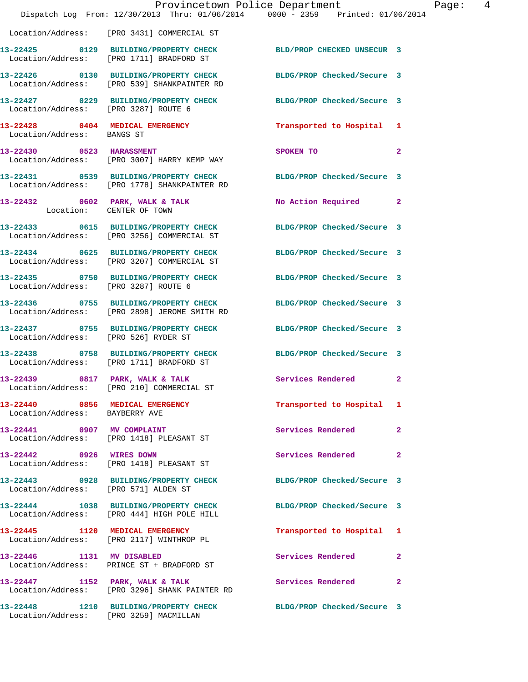|                                        | Provincetown Police Department The Rage: 4<br>Dispatch Log From: 12/30/2013 Thru: 01/06/2014 0000 - 2359 Printed: 01/06/2014 |                            |              |
|----------------------------------------|------------------------------------------------------------------------------------------------------------------------------|----------------------------|--------------|
|                                        | Location/Address: [PRO 3431] COMMERCIAL ST                                                                                   |                            |              |
|                                        | 13-22425   0129   BUILDING/PROPERTY CHECK   BLD/PROP CHECKED UNSECUR   3<br>Location/Address: [PRO 1711] BRADFORD ST         |                            |              |
|                                        | 13-22426 0130 BUILDING/PROPERTY CHECK BLDG/PROP Checked/Secure 3<br>Location/Address: [PRO 539] SHANKPAINTER RD              |                            |              |
|                                        | 13-22427 0229 BUILDING/PROPERTY CHECK BLDG/PROP Checked/Secure 3<br>Location/Address: [PRO 3287] ROUTE 6                     |                            |              |
| Location/Address: BANGS ST             | 13-22428 0404 MEDICAL EMERGENCY                                                                                              | Transported to Hospital 1  |              |
|                                        | 13-22430 0523 HARASSMENT<br>Location/Address: [PRO 3007] HARRY KEMP WAY                                                      | SPOKEN TO                  | $\mathbf{2}$ |
|                                        | 13-22431 0539 BUILDING/PROPERTY CHECK BLDG/PROP Checked/Secure 3<br>Location/Address: [PRO 1778] SHANKPAINTER RD             |                            |              |
| Location: CENTER OF TOWN               | 13-22432 0602 PARK, WALK & TALK                                                                                              | No Action Required 2       |              |
|                                        | 13-22433 0615 BUILDING/PROPERTY CHECK<br>Location/Address: [PRO 3256] COMMERCIAL ST                                          | BLDG/PROP Checked/Secure 3 |              |
|                                        | 13-22434 0625 BUILDING/PROPERTY CHECK BLDG/PROP Checked/Secure 3<br>Location/Address: [PRO 3207] COMMERCIAL ST               |                            |              |
| Location/Address: [PRO 3287] ROUTE 6   | 13-22435 0750 BUILDING/PROPERTY CHECK BLDG/PROP Checked/Secure 3                                                             |                            |              |
|                                        | 13-22436 0755 BUILDING/PROPERTY CHECK BLDG/PROP Checked/Secure 3<br>Location/Address: [PRO 2898] JEROME SMITH RD             |                            |              |
| Location/Address: [PRO 526] RYDER ST   | 13-22437 0755 BUILDING/PROPERTY CHECK BLDG/PROP Checked/Secure 3                                                             |                            |              |
|                                        | 13-22438 0758 BUILDING/PROPERTY CHECK BLDG/PROP Checked/Secure 3<br>Location/Address: [PRO 1711] BRADFORD ST                 |                            |              |
|                                        | 13-22439 0817 PARK, WALK & TALK<br>Location/Address: [PRO 210] COMMERCIAL ST                                                 | Services Rendered          | $\mathbf{2}$ |
| Location/Address: BAYBERRY AVE         | 13-22440 0856 MEDICAL EMERGENCY                                                                                              | Transported to Hospital 1  |              |
|                                        | 13-22441 0907 MV COMPLAINT<br>Location/Address: [PRO 1418] PLEASANT ST                                                       | Services Rendered          | $\mathbf{2}$ |
| 13-22442 0926 WIRES DOWN               | Location/Address: [PRO 1418] PLEASANT ST                                                                                     | Services Rendered 2        |              |
| Location/Address: [PRO 571] ALDEN ST   | 13-22443 0928 BUILDING/PROPERTY CHECK BLDG/PROP Checked/Secure 3                                                             |                            |              |
|                                        | 13-22444 1038 BUILDING/PROPERTY CHECK BLDG/PROP Checked/Secure 3<br>Location/Address: [PRO 444] HIGH POLE HILL               |                            |              |
|                                        | 13-22445 1120 MEDICAL EMERGENCY<br>Location/Address: [PRO 2117] WINTHROP PL                                                  | Transported to Hospital 1  |              |
| 13-22446 1131 MV DISABLED              | Location/Address: PRINCE ST + BRADFORD ST                                                                                    | Services Rendered 2        |              |
|                                        | 13-22447 1152 PARK, WALK & TALK<br>Location/Address: [PRO 3296] SHANK PAINTER RD                                             | <b>Services Rendered</b>   | $\mathbf{2}$ |
| Location/Address: [PRO 3259] MACMILLAN | 13-22448 1210 BUILDING/PROPERTY CHECK BLDG/PROP Checked/Secure 3                                                             |                            |              |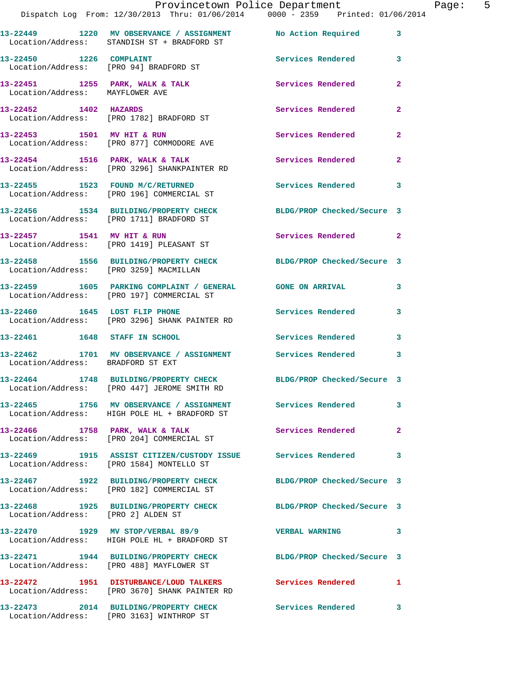|                                    | Dispatch Log From: 12/30/2013 Thru: 01/06/2014 0000 - 2359 Printed: 01/06/2014                                  | Provincetown Police Department |                | Page: 5 |
|------------------------------------|-----------------------------------------------------------------------------------------------------------------|--------------------------------|----------------|---------|
|                                    | 13-22449 1220 MV OBSERVANCE / ASSIGNMENT No Action Required<br>Location/Address: STANDISH ST + BRADFORD ST      |                                | $\mathbf{3}$   |         |
| 13-22450 1226 COMPLAINT            | Location/Address: [PRO 94] BRADFORD ST                                                                          | Services Rendered              | 3              |         |
|                                    | 13-22451 1255 PARK, WALK & TALK Services Rendered Location/Address: MAYFLOWER AVE                               |                                | $\mathbf{2}$   |         |
|                                    | 13-22452 1402 HAZARDS<br>Location/Address: [PRO 1782] BRADFORD ST                                               | Services Rendered              | $\mathbf{2}$   |         |
|                                    | 13-22453 1501 MV HIT & RUN<br>Location/Address: [PRO 877] COMMODORE AVE                                         | Services Rendered              | $\overline{a}$ |         |
|                                    | 13-22454 1516 PARK, WALK & TALK 1999 Services Rendered<br>Location/Address: [PRO 3296] SHANKPAINTER RD          |                                | $\mathbf{2}$   |         |
|                                    | 13-22455 1523 FOUND M/C/RETURNED Services Rendered<br>Location/Address: [PRO 196] COMMERCIAL ST                 |                                | 3              |         |
|                                    | 13-22456 1534 BUILDING/PROPERTY CHECK BLDG/PROP Checked/Secure 3<br>Location/Address: [PRO 1711] BRADFORD ST    |                                |                |         |
|                                    | 13-22457 1541 MV HIT & RUN<br>Location/Address: [PRO 1419] PLEASANT ST                                          | Services Rendered 2            |                |         |
|                                    | 13-22458 1556 BUILDING/PROPERTY CHECK BLDG/PROP Checked/Secure 3<br>Location/Address: [PRO 3259] MACMILLAN      |                                |                |         |
|                                    | 13-22459 1605 PARKING COMPLAINT / GENERAL GONE ON ARRIVAL<br>Location/Address: [PRO 197] COMMERCIAL ST          |                                | 3              |         |
|                                    | 13-22460 1645 LOST FLIP PHONE<br>Location/Address: [PRO 3296] SHANK PAINTER RD                                  | <b>Services Rendered</b>       | 3              |         |
|                                    | 13-22461 1648 STAFF IN SCHOOL                                                                                   | Services Rendered              | 3              |         |
| Location/Address: BRADFORD ST EXT  | 13-22462 1701 MV OBSERVANCE / ASSIGNMENT Services Rendered                                                      |                                | 3              |         |
|                                    | 13-22464 1748 BUILDING/PROPERTY CHECK BLDG/PROP Checked/Secure 3<br>Location/Address: [PRO 447] JEROME SMITH RD |                                |                |         |
|                                    | 13-22465 1756 MV OBSERVANCE / ASSIGNMENT Services Rendered<br>Location/Address: HIGH POLE HL + BRADFORD ST      |                                | 3              |         |
|                                    | 13-22466 1758 PARK, WALK & TALK<br>Location/Address: [PRO 204] COMMERCIAL ST                                    | Services Rendered              | $\mathbf{2}$   |         |
|                                    | 13-22469 1915 ASSIST CITIZEN/CUSTODY ISSUE Services Rendered<br>Location/Address: [PRO 1584] MONTELLO ST        |                                | 3              |         |
|                                    | 13-22467 1922 BUILDING/PROPERTY CHECK BLDG/PROP Checked/Secure 3<br>Location/Address: [PRO 182] COMMERCIAL ST   |                                |                |         |
| Location/Address: [PRO 2] ALDEN ST | 13-22468 1925 BUILDING/PROPERTY CHECK BLDG/PROP Checked/Secure 3                                                |                                |                |         |
|                                    | 13-22470 1929 MV STOP/VERBAL 89/9<br>Location/Address: HIGH POLE HL + BRADFORD ST                               | <b>VERBAL WARNING</b>          | 3              |         |
|                                    | 13-22471 1944 BUILDING/PROPERTY CHECK BLDG/PROP Checked/Secure 3<br>Location/Address: [PRO 488] MAYFLOWER ST    |                                |                |         |
|                                    | 13-22472 1951 DISTURBANCE/LOUD TALKERS Services Rendered<br>Location/Address: [PRO 3670] SHANK PAINTER RD       |                                | 1              |         |
|                                    | 13-22473 2014 BUILDING/PROPERTY CHECK Services Rendered<br>Location/Address: [PRO 3163] WINTHROP ST             |                                | 3              |         |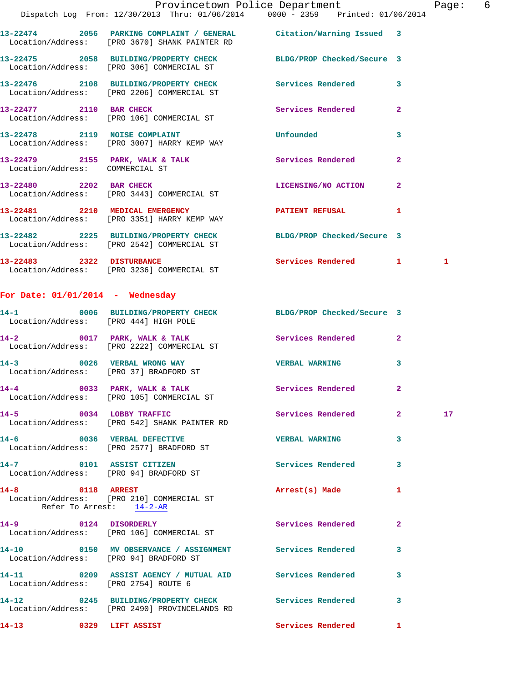|                                    |                                                                                                                      | Provincetown Police Department |                         | Page:        | 6 |
|------------------------------------|----------------------------------------------------------------------------------------------------------------------|--------------------------------|-------------------------|--------------|---|
|                                    | Dispatch Log From: 12/30/2013 Thru: 01/06/2014   0000 - 2359   Printed: 01/06/2014                                   |                                |                         |              |   |
|                                    | 13-22474 2056 PARKING COMPLAINT / GENERAL Citation/Warning Issued 3<br>Location/Address: [PRO 3670] SHANK PAINTER RD |                                |                         |              |   |
|                                    | 13-22475 2058 BUILDING/PROPERTY CHECK BLDG/PROP Checked/Secure 3<br>Location/Address: [PRO 306] COMMERCIAL ST        |                                |                         |              |   |
|                                    | 13-22476 2108 BUILDING/PROPERTY CHECK Services Rendered<br>Location/Address: [PRO 2206] COMMERCIAL ST                |                                | $\overline{3}$          |              |   |
|                                    | 13-22477 2110 BAR CHECK<br>Location/Address: [PRO 106] COMMERCIAL ST                                                 | Services Rendered              | $\overline{2}$          |              |   |
|                                    | Location/Address: [PRO 3007] HARRY KEMP WAY                                                                          |                                | $\overline{\mathbf{3}}$ |              |   |
| Location/Address: COMMERCIAL ST    | 13-22479 2155 PARK, WALK & TALK Services Rendered                                                                    |                                | $\overline{2}$          |              |   |
|                                    | 13-22480 2202 BAR CHECK<br>Location/Address: [PRO 3443] COMMERCIAL ST                                                | LICENSING/NO ACTION            | $\overline{2}$          |              |   |
|                                    | 13-22481 2210 MEDICAL EMERGENCY PATIENT REFUSAL<br>Location/Address: [PRO 3351] HARRY KEMP WAY                       |                                | $\mathbf{1}$            |              |   |
|                                    | 13-22482 2225 BUILDING/PROPERTY CHECK BLDG/PROP Checked/Secure 3<br>Location/Address: [PRO 2542] COMMERCIAL ST       |                                |                         |              |   |
|                                    | 13-22483 2322 DISTURBANCE<br>Location/Address: [PRO 3236] COMMERCIAL ST                                              | Services Rendered 1            |                         | $\mathbf{1}$ |   |
| For Date: $01/01/2014$ - Wednesday |                                                                                                                      |                                |                         |              |   |

| Location/Address: [PRO 444] HIGH POLE | 14-1 0006 BUILDING/PROPERTY CHECK BLDG/PROP Checked/Secure 3                                          |                          |                         |                 |
|---------------------------------------|-------------------------------------------------------------------------------------------------------|--------------------------|-------------------------|-----------------|
|                                       | 14-2 0017 PARK, WALK & TALK<br>Location/Address: [PRO 2222] COMMERCIAL ST                             | Services Rendered        | $\overline{2}$          |                 |
|                                       | 14-3 0026 VERBAL WRONG WAY<br>Location/Address: [PRO 37] BRADFORD ST                                  | <b>VERBAL WARNING</b>    | 3                       |                 |
|                                       | 14-4 0033 PARK, WALK & TALK<br>Location/Address: [PRO 105] COMMERCIAL ST                              | <b>Services Rendered</b> | $\overline{2}$          |                 |
|                                       | 14-5 0034 LOBBY TRAFFIC<br>Location/Address: [PRO 542] SHANK PAINTER RD                               | Services Rendered        | $\overline{2}$          | 17 <sub>1</sub> |
|                                       | 14-6 0036 VERBAL DEFECTIVE<br>Location/Address: [PRO 2577] BRADFORD ST                                | <b>VERBAL WARNING</b>    | 3                       |                 |
|                                       | 14-7 0101 ASSIST CITIZEN<br>Location/Address: [PRO 94] BRADFORD ST                                    | Services Rendered        | 3                       |                 |
| Refer To Arrest: 14-2-AR              | 14-8 0118 ARREST<br>Location/Address: [PRO 210] COMMERCIAL ST                                         | Arrest(s) Made           | 1                       |                 |
|                                       | 14-9 0124 DISORDERLY<br>Location/Address: [PRO 106] COMMERCIAL ST                                     | <b>Services Rendered</b> | $\overline{2}$          |                 |
|                                       | 14-10 0150 MV OBSERVANCE / ASSIGNMENT Services Rendered<br>Location/Address: [PRO 94] BRADFORD ST     |                          | 3                       |                 |
|                                       | 14-11 0209 ASSIST AGENCY / MUTUAL AID Services Rendered<br>Location/Address: [PRO 2754] ROUTE 6       |                          | $\overline{\mathbf{3}}$ |                 |
|                                       | 14-12 0245 BUILDING/PROPERTY CHECK Services Rendered<br>Location/Address: [PRO 2490] PROVINCELANDS RD |                          | 3                       |                 |
| 14-13 0329 LIFT ASSIST                |                                                                                                       | Services Rendered        | 1                       |                 |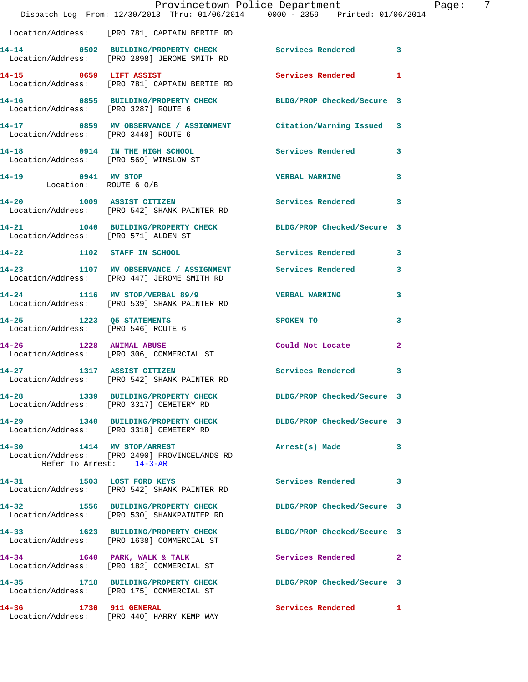|                                      | Provincetown Police Department The Page:<br>Dispatch Log From: 12/30/2013 Thru: 01/06/2014   0000 - 2359   Printed: 01/06/2014 |                     | - 7          |
|--------------------------------------|--------------------------------------------------------------------------------------------------------------------------------|---------------------|--------------|
|                                      | Location/Address: [PRO 781] CAPTAIN BERTIE RD                                                                                  |                     |              |
|                                      | 14-14 0502 BUILDING/PROPERTY CHECK Services Rendered 3<br>Location/Address: [PRO 2898] JEROME SMITH RD                         |                     |              |
|                                      | 14-15 0659 LIFT ASSIST Services Rendered 1<br>Location/Address: [PRO 781] CAPTAIN BERTIE RD                                    |                     |              |
|                                      | 14-16 0855 BUILDING/PROPERTY CHECK BLDG/PROP Checked/Secure 3<br>Location/Address: [PRO 3287] ROUTE 6                          |                     |              |
|                                      | 14-17 0859 MV OBSERVANCE / ASSIGNMENT Citation/Warning Issued 3<br>Location/Address: [PRO 3440] ROUTE 6                        |                     |              |
|                                      | 14-18 0914 IN THE HIGH SCHOOL Services Rendered 3<br>Location/Address: [PRO 569] WINSLOW ST                                    |                     |              |
|                                      | 14-19 0941 MV STOP<br>Location: ROUTE 6 0/B                                                                                    | VERBAL WARNING 3    |              |
|                                      | 14-20 1009 ASSIST CITIZEN 20 Services Rendered 3<br>Location/Address: [PRO 542] SHANK PAINTER RD                               |                     |              |
| Location/Address: [PRO 571] ALDEN ST | 14-21 1040 BUILDING/PROPERTY CHECK BLDG/PROP Checked/Secure 3                                                                  |                     |              |
|                                      | 14-22 1102 STAFF IN SCHOOL 5 Services Rendered 3                                                                               |                     |              |
|                                      | 14-23 1107 MV OBSERVANCE / ASSIGNMENT Services Rendered 3<br>Location/Address: [PRO 447] JEROME SMITH RD                       |                     |              |
|                                      | 14-24 1116 MV STOP/VERBAL 89/9  VERBAL WARNING<br>Location/Address: [PRO 539] SHANK PAINTER RD                                 |                     | 3            |
|                                      | 14-25 1223 Q5 STATEMENTS SPOKEN TO<br>Location/Address: [PRO 546] ROUTE 6                                                      |                     | $\mathbf{3}$ |
|                                      | 14-26 1228 ANIMAL ABUSE<br>Location/Address: [PRO 306] COMMERCIAL ST                                                           | Could Not Locate    | $\mathbf{2}$ |
|                                      | 14-27 1317 ASSIST CITIZEN<br>Location/Address: [PRO 542] SHANK PAINTER RD                                                      | Services Rendered 3 |              |
|                                      | 14-28 1339 BUILDING/PROPERTY CHECK BLDG/PROP Checked/Secure 3<br>Location/Address: [PRO 3317] CEMETERY RD                      |                     |              |
|                                      | 14-29 1340 BUILDING/PROPERTY CHECK BLDG/PROP Checked/Secure 3<br>Location/Address: [PRO 3318] CEMETERY RD                      |                     |              |
| 14-30 1414 MV STOP/ARREST            | Location/Address: [PRO 2490] PROVINCELANDS RD<br>Refer To Arrest: 14-3-AR                                                      | Arrest(s) Made 3    |              |
|                                      | 14-31 1503 LOST FORD KEYS<br>Location/Address: [PRO 542] SHANK PAINTER RD                                                      | Services Rendered 3 |              |
|                                      | 14-32 1556 BUILDING/PROPERTY CHECK BLDG/PROP Checked/Secure 3<br>Location/Address: [PRO 530] SHANKPAINTER RD                   |                     |              |
|                                      | 14-33 1623 BUILDING/PROPERTY CHECK BLDG/PROP Checked/Secure 3<br>Location/Address: [PRO 1638] COMMERCIAL ST                    |                     |              |
|                                      | 14-34 1640 PARK, WALK & TALK<br>Location/Address: [PRO 182] COMMERCIAL ST                                                      | Services Rendered 2 |              |
|                                      | 14-35 1718 BUILDING/PROPERTY CHECK BLDG/PROP Checked/Secure 3<br>Location/Address: [PRO 175] COMMERCIAL ST                     |                     |              |
|                                      | 14-36 1730 911 GENERAL<br>Location/Address: [PRO 440] HARRY KEMP WAY                                                           | Services Rendered 1 |              |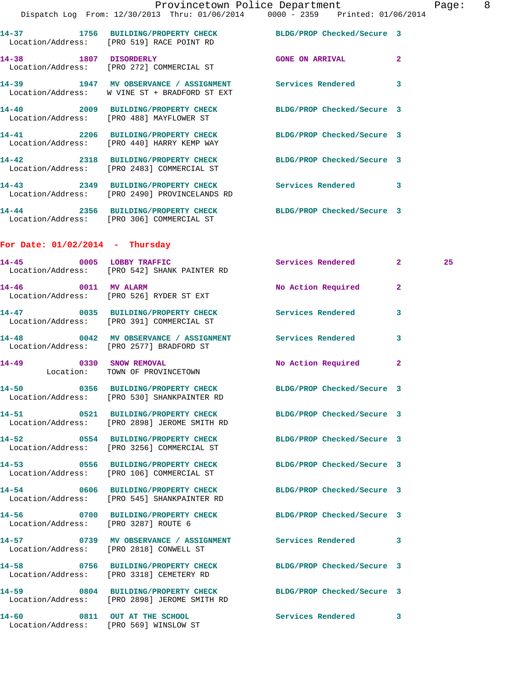|                                          | Provincetown Police Department The Page: 8                                                                  |                            |              |    |  |
|------------------------------------------|-------------------------------------------------------------------------------------------------------------|----------------------------|--------------|----|--|
|                                          | Dispatch Log From: 12/30/2013 Thru: 01/06/2014 0000 - 2359 Printed: 01/06/2014                              |                            |              |    |  |
|                                          | 14-37 1756 BUILDING/PROPERTY CHECK BLDG/PROP Checked/Secure 3<br>Location/Address: [PRO 519] RACE POINT RD  |                            |              |    |  |
|                                          | 14-38 1807 DISORDERLY<br>Location/Address: [PRO 272] COMMERCIAL ST                                          | <b>GONE ON ARRIVAL</b>     | $\mathbf{2}$ |    |  |
|                                          | 14-39 1947 MV OBSERVANCE / ASSIGNMENT Services Rendered<br>Location/Address: W VINE ST + BRADFORD ST EXT    |                            | 3            |    |  |
|                                          | 14-40 2009 BUILDING/PROPERTY CHECK BLDG/PROP Checked/Secure 3<br>Location/Address: [PRO 488] MAYFLOWER ST   |                            |              |    |  |
|                                          | 14-41 2206 BUILDING/PROPERTY CHECK BLDG/PROP Checked/Secure 3<br>Location/Address: [PRO 440] HARRY KEMP WAY |                            |              |    |  |
|                                          | 14-42 2318 BUILDING/PROPERTY CHECK BLDG/PROP Checked/Secure 3<br>Location/Address: [PRO 2483] COMMERCIAL ST |                            |              |    |  |
|                                          | 14-43 2349 BUILDING/PROPERTY CHECK Services Rendered<br>Location/Address: [PRO 2490] PROVINCELANDS RD       |                            | 3            |    |  |
|                                          | 14-44 2356 BUILDING/PROPERTY CHECK BLDG/PROP Checked/Secure 3<br>Location/Address: [PRO 306] COMMERCIAL ST  |                            |              |    |  |
| For Date: $01/02/2014$ - Thursday        |                                                                                                             |                            |              |    |  |
| $14 - 45$                                | 0005 LOBBY TRAFFIC<br>Location/Address: [PRO 542] SHANK PAINTER RD                                          | Services Rendered 2        |              | 25 |  |
|                                          | 14-46 0011 MV ALARM<br>Location/Address: [PRO 526] RYDER ST EXT                                             | No Action Required         | -2           |    |  |
|                                          | 14-47 0035 BUILDING/PROPERTY CHECK Services Rendered<br>Location/Address: [PRO 391] COMMERCIAL ST           |                            | 3            |    |  |
|                                          | 14-48 0042 MV OBSERVANCE / ASSIGNMENT Services Rendered                                                     |                            | 3            |    |  |
| Location/Address: [PRO 2577] BRADFORD ST |                                                                                                             |                            |              |    |  |
| 14-49 0330 SNOW REMOVAL                  | Location: TOWN OF PROVINCETOWN                                                                              | No Action Required         | $\mathbf{2}$ |    |  |
| 14-50                                    | 0356 BUILDING/PROPERTY CHECK<br>Location/Address: [PRO 530] SHANKPAINTER RD                                 | BLDG/PROP Checked/Secure 3 |              |    |  |
| 14-51                                    | 0521 BUILDING/PROPERTY CHECK<br>Location/Address: [PRO 2898] JEROME SMITH RD                                | BLDG/PROP Checked/Secure 3 |              |    |  |
| 14-52                                    | 0554 BUILDING/PROPERTY CHECK<br>Location/Address: [PRO 3256] COMMERCIAL ST                                  | BLDG/PROP Checked/Secure 3 |              |    |  |
| 14–53                                    | 0556 BUILDING/PROPERTY CHECK<br>Location/Address: [PRO 106] COMMERCIAL ST                                   | BLDG/PROP Checked/Secure 3 |              |    |  |

**14-54 0606 BUILDING/PROPERTY CHECK BLDG/PROP Checked/Secure 3**  Location/Address: [PRO 545] SHANKPAINTER RD

**14-56 0700 BUILDING/PROPERTY CHECK BLDG/PROP Checked/Secure 3**  Location/Address: [PRO 3287] ROUTE 6

Location/Address: [PRO 2818] CONWELL ST

Location/Address: [PRO 569] WINSLOW ST

 Location/Address: [PRO 3318] CEMETERY RD Location/Address: [PRO 2898] JEROME SMITH RD

**14-57 0739 MV OBSERVANCE / ASSIGNMENT Services Rendered 3 14-58 0756 BUILDING/PROPERTY CHECK BLDG/PROP Checked/Secure 3 14-59 0804 BUILDING/PROPERTY CHECK BLDG/PROP Checked/Secure 3** 

**14-60 0811 OUT AT THE SCHOOL Services Rendered 3**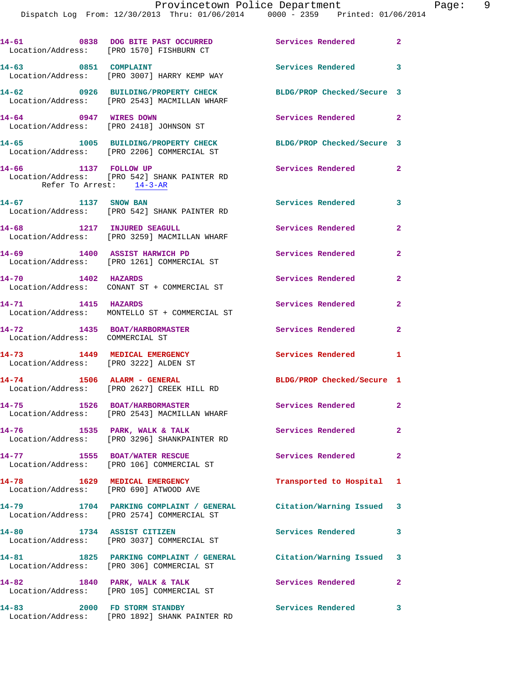|                                                                       | 14-61 0838 DOG BITE PAST OCCURRED<br>Location/Address: [PRO 1570] FISHBURN CT                                  | Services Rendered<br>$\sim$ 2 |                         |
|-----------------------------------------------------------------------|----------------------------------------------------------------------------------------------------------------|-------------------------------|-------------------------|
| 14-63 0851 COMPLAINT                                                  | Location/Address: [PRO 3007] HARRY KEMP WAY                                                                    | Services Rendered             | $\overline{\mathbf{3}}$ |
|                                                                       | 14-62 0926 BUILDING/PROPERTY CHECK<br>Location/Address: [PRO 2543] MACMILLAN WHARF                             | BLDG/PROP Checked/Secure 3    |                         |
| 14-64 0947 WIRES DOWN                                                 | Location/Address: [PRO 2418] JOHNSON ST                                                                        | Services Rendered 2           |                         |
|                                                                       | 14-65 1005 BUILDING/PROPERTY CHECK<br>Location/Address: [PRO 2206] COMMERCIAL ST                               | BLDG/PROP Checked/Secure 3    |                         |
| 14-66 1137 FOLLOW UP<br>Refer To Arrest: 14-3-AR                      | Location/Address: [PRO 542] SHANK PAINTER RD                                                                   | Services Rendered             | $\mathbf{2}$            |
| 14-67 1137 SNOW BAN                                                   | Location/Address: [PRO 542] SHANK PAINTER RD                                                                   | <b>Services Rendered</b>      | 3                       |
| 14-68 1217 INJURED SEAGULL                                            | Location/Address: [PRO 3259] MACMILLAN WHARF                                                                   | Services Rendered             | $\mathbf{2}$            |
| 14-69 1400 ASSIST HARWICH PD                                          | Location/Address: [PRO 1261] COMMERCIAL ST                                                                     | Services Rendered             | $\mathbf{2}$            |
| 14-70 1402 HAZARDS                                                    |                                                                                                                | Services Rendered             | $\overline{2}$          |
| 14-71 1415 HAZARDS                                                    | Location/Address: MONTELLO ST + COMMERCIAL ST                                                                  | Services Rendered             | $\overline{\mathbf{2}}$ |
| 14-72<br>Location/Address: COMMERCIAL ST                              | 1435 BOAT/HARBORMASTER                                                                                         | Services Rendered             | $\overline{2}$          |
| 14-73 1449 MEDICAL EMERGENCY<br>Location/Address: [PRO 3222] ALDEN ST |                                                                                                                | Services Rendered 1           |                         |
| 14-74                                                                 | 1506 ALARM - GENERAL<br>Location/Address: [PRO 2627] CREEK HILL RD                                             | BLDG/PROP Checked/Secure 1    |                         |
| 14-75 1526 BOAT/HARBORMASTER                                          | Location/Address: [PRO 2543] MACMILLAN WHARF                                                                   | Services Rendered             | $\mathbf{2}$            |
|                                                                       | 14-76 1535 PARK, WALK & TALK<br>Location/Address: [PRO 3296] SHANKPAINTER RD                                   | Services Rendered 2           |                         |
| 14-77 1555 BOAT/WATER RESCUE                                          | Location/Address: [PRO 106] COMMERCIAL ST                                                                      | <b>Services Rendered</b>      | $\mathbf{2}$            |
| 14-78 1629 MEDICAL EMERGENCY                                          | Location/Address: [PRO 690] ATWOOD AVE                                                                         | Transported to Hospital 1     |                         |
|                                                                       | 14-79 1704 PARKING COMPLAINT / GENERAL Citation/Warning Issued 3<br>Location/Address: [PRO 2574] COMMERCIAL ST |                               |                         |
| 14-80 1734 ASSIST CITIZEN                                             | Location/Address: [PRO 3037] COMMERCIAL ST                                                                     | Services Rendered             | $\mathbf{3}$            |
|                                                                       | 14-81 1825 PARKING COMPLAINT / GENERAL Citation/Warning Issued 3<br>Location/Address: [PRO 306] COMMERCIAL ST  |                               |                         |
| 14-82                                                                 | 1840 PARK, WALK & TALK<br>Location/Address: [PRO 105] COMMERCIAL ST                                            | <b>Services Rendered</b>      | $\overline{2}$          |
|                                                                       | 14-83 2000 FD STORM STANDBY<br>Location/Address: [PRO 1892] SHANK PAINTER RD                                   | <b>Services Rendered</b>      | 3                       |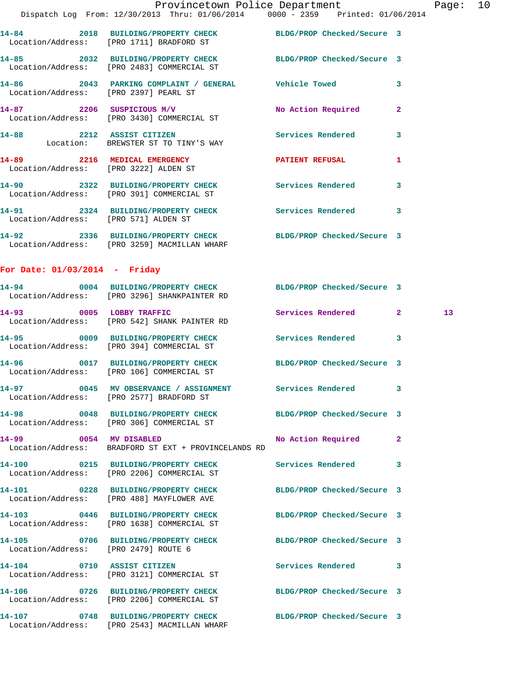|                                      | Provincetown Police Department                                                                                |                    |              | Page |
|--------------------------------------|---------------------------------------------------------------------------------------------------------------|--------------------|--------------|------|
|                                      | Dispatch Log From: 12/30/2013 Thru: 01/06/2014 0000 - 2359 Printed: 01/06/2014                                |                    |              |      |
|                                      | 14-84 2018 BUILDING/PROPERTY CHECK BLDG/PROP Checked/Secure 3<br>Location/Address: [PRO 1711] BRADFORD ST     |                    |              |      |
|                                      | 14-85 2032 BUILDING/PROPERTY CHECK BLDG/PROP Checked/Secure 3<br>Location/Address: [PRO 2483] COMMERCIAL ST   |                    |              |      |
|                                      | 14-86 2043 PARKING COMPLAINT / GENERAL Vehicle Towed<br>Location/Address: [PRO 2397] PEARL ST                 |                    | 3            |      |
|                                      | 14-87 2206 SUSPICIOUS M/V No Action Required<br>Location/Address: [PRO 3430] COMMERCIAL ST                    |                    | $\mathbf{2}$ |      |
|                                      | 14-88 2212 ASSIST CITIZEN<br>Location: BREWSTER ST TO TINY'S WAY                                              | Services Rendered  | 3            |      |
|                                      | 14-89 2216 MEDICAL EMERGENCY PATIENT REFUSAL<br>Location/Address: [PRO 3222] ALDEN ST                         |                    | 1            |      |
|                                      | 14-90 2322 BUILDING/PROPERTY CHECK Services Rendered<br>Location/Address: [PRO 391] COMMERCIAL ST             |                    | 3            |      |
|                                      | 14-91 2324 BUILDING/PROPERTY CHECK Services Rendered<br>Location/Address: [PRO 571] ALDEN ST                  |                    | 3            |      |
|                                      | 14-92 2336 BUILDING/PROPERTY CHECK BLDG/PROP Checked/Secure 3<br>Location/Address: [PRO 3259] MACMILLAN WHARF |                    |              |      |
| For Date: $01/03/2014$ - Friday      |                                                                                                               |                    |              |      |
|                                      | 14-94 0004 BUILDING/PROPERTY CHECK BLDG/PROP Checked/Secure 3<br>Location/Address: [PRO 3296] SHANKPAINTER RD |                    |              |      |
|                                      | 14-93 0005 LOBBY TRAFFIC Services Rendered 2<br>Location/Address: [PRO 542] SHANK PAINTER RD                  |                    |              | 13   |
|                                      | 14-95 0009 BUILDING/PROPERTY CHECK Services Rendered 3<br>Location/Address: [PRO 394] COMMERCIAL ST           |                    |              |      |
|                                      | 14-96 0017 BUILDING/PROPERTY CHECK BLDG/PROP Checked/Secure 3<br>Location/Address: [PRO 106] COMMERCIAL ST    |                    |              |      |
|                                      | 14-97 0045 MV OBSERVANCE / ASSIGNMENT Services Rendered 3<br>Location/Address: [PRO 2577] BRADFORD ST         |                    |              |      |
|                                      | 14-98 0048 BUILDING/PROPERTY CHECK BLDG/PROP Checked/Secure 3<br>Location/Address: [PRO 306] COMMERCIAL ST    |                    |              |      |
| 14-99                                | 0054 MV DISABLED<br>Location/Address: BRADFORD ST EXT + PROVINCELANDS RD                                      | No Action Required | $\mathbf{2}$ |      |
|                                      | 14-100 0215 BUILDING/PROPERTY CHECK Services Rendered<br>Location/Address: [PRO 2206] COMMERCIAL ST           |                    | 3            |      |
|                                      | 14-101 0228 BUILDING/PROPERTY CHECK BLDG/PROP Checked/Secure 3<br>Location/Address: [PRO 488] MAYFLOWER AVE   |                    |              |      |
|                                      | 14-103 0446 BUILDING/PROPERTY CHECK BLDG/PROP Checked/Secure 3<br>Location/Address: [PRO 1638] COMMERCIAL ST  |                    |              |      |
| Location/Address: [PRO 2479] ROUTE 6 | 14-105 0706 BUILDING/PROPERTY CHECK BLDG/PROP Checked/Secure 3                                                |                    |              |      |
|                                      | 14-104 0710 ASSIST CITIZEN<br>Location/Address: [PRO 3121] COMMERCIAL ST                                      | Services Rendered  | 3            |      |
| 14-106                               | 0726 BUILDING/PROPERTY CHECK BLDG/PROP Checked/Secure 3<br>Location/Address: [PRO 2206] COMMERCIAL ST         |                    |              |      |
| 14-107                               | 0748 BUILDING/PROPERTY CHECK BLDG/PROP Checked/Secure 3                                                       |                    |              |      |

Location/Address: [PRO 2543] MACMILLAN WHARF

age: 10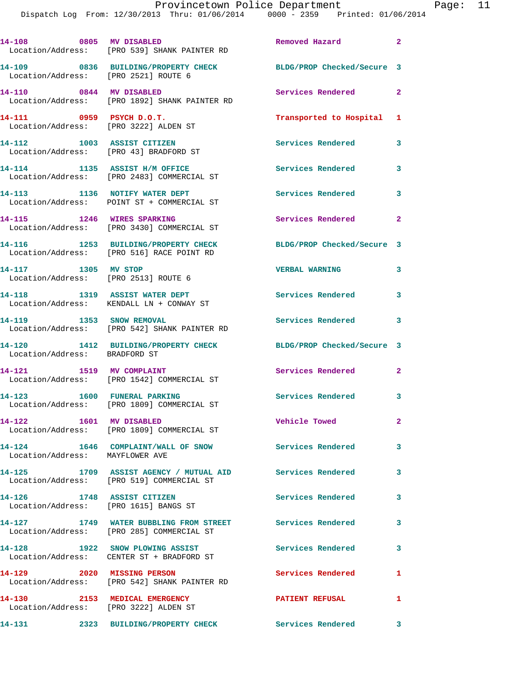| 14-108 0805 MV DISABLED                                                | Location/Address: [PRO 539] SHANK PAINTER RD                                                          | Removed Hazard             | $\overline{\mathbf{2}}$    |
|------------------------------------------------------------------------|-------------------------------------------------------------------------------------------------------|----------------------------|----------------------------|
| Location/Address: [PRO 2521] ROUTE 6                                   | 14-109 0836 BUILDING/PROPERTY CHECK                                                                   | BLDG/PROP Checked/Secure 3 |                            |
| 14-110 0844 MV DISABLED                                                | Location/Address: [PRO 1892] SHANK PAINTER RD                                                         | Services Rendered          | $\overline{\phantom{0}}$ 2 |
| 14-111 0959 PSYCH D.O.T.<br>Location/Address: [PRO 3222] ALDEN ST      |                                                                                                       | Transported to Hospital 1  |                            |
| 14-112 1003 ASSIST CITIZEN                                             | Location/Address: [PRO 43] BRADFORD ST                                                                | Services Rendered 3        |                            |
|                                                                        | 14-114 1135 ASSIST H/M OFFICE<br>Location/Address: [PRO 2483] COMMERCIAL ST                           | <b>Services Rendered</b>   | 3                          |
| 14-113 1136 NOTIFY WATER DEPT                                          | Location/Address: POINT ST + COMMERCIAL ST                                                            | Services Rendered 3        |                            |
|                                                                        | 14-115 1246 WIRES SPARKING<br>Location/Address: [PRO 3430] COMMERCIAL ST                              | <b>Services Rendered</b>   | $\mathbf{2}$               |
|                                                                        | 14-116 1253 BUILDING/PROPERTY CHECK<br>Location/Address: [PRO 516] RACE POINT RD                      | BLDG/PROP Checked/Secure 3 |                            |
| 14-117 1305 MV STOP<br>Location/Address: [PRO 2513] ROUTE 6            |                                                                                                       | <b>VERBAL WARNING</b>      | 3                          |
| 14-118 1319 ASSIST WATER DEPT                                          | Location/Address: KENDALL LN + CONWAY ST                                                              | Services Rendered          | $\mathbf{3}$               |
| 14-119 1353 SNOW REMOVAL                                               | Location/Address: [PRO 542] SHANK PAINTER RD                                                          | <b>Services Rendered</b>   | $\overline{\phantom{a}}$ 3 |
| Location/Address: BRADFORD ST                                          | 14-120 1412 BUILDING/PROPERTY CHECK                                                                   | BLDG/PROP Checked/Secure 3 |                            |
| 14-121 1519 MV COMPLAINT                                               | Location/Address: [PRO 1542] COMMERCIAL ST                                                            | <b>Services Rendered</b> 2 |                            |
| 14-123 1600 FUNERAL PARKING                                            | Location/Address: [PRO 1809] COMMERCIAL ST                                                            | Services Rendered 3        |                            |
| 14-122 1601 MV DISABLED                                                | Location/Address: [PRO 1809] COMMERCIAL ST                                                            | Vehicle Towed              |                            |
| Location/Address: MAYFLOWER AVE                                        | 14-124 1646 COMPLAINT/WALL OF SNOW Services Rendered 3                                                |                            |                            |
|                                                                        | 14-125 1709 ASSIST AGENCY / MUTUAL AID Services Rendered<br>Location/Address: [PRO 519] COMMERCIAL ST |                            | $\mathbf{3}$               |
| 14-126 1748 ASSIST CITIZEN<br>Location/Address: [PRO 1615] BANGS ST    |                                                                                                       | Services Rendered 3        |                            |
|                                                                        | 14-127 1749 WATER BUBBLING FROM STREET Services Rendered<br>Location/Address: [PRO 285] COMMERCIAL ST |                            | 3                          |
|                                                                        | 14-128 1922 SNOW PLOWING ASSIST<br>Location/Address: CENTER ST + BRADFORD ST                          | Services Rendered          | $\overline{\mathbf{3}}$    |
| 14-129 2020 MISSING PERSON                                             | Location/Address: [PRO 542] SHANK PAINTER RD                                                          | <b>Services Rendered</b> 1 |                            |
| 14-130 2153 MEDICAL EMERGENCY<br>Location/Address: [PRO 3222] ALDEN ST |                                                                                                       | <b>PATIENT REFUSAL</b>     | $\mathbf{1}$               |

**14-131 2323 BUILDING/PROPERTY CHECK Services Rendered 3**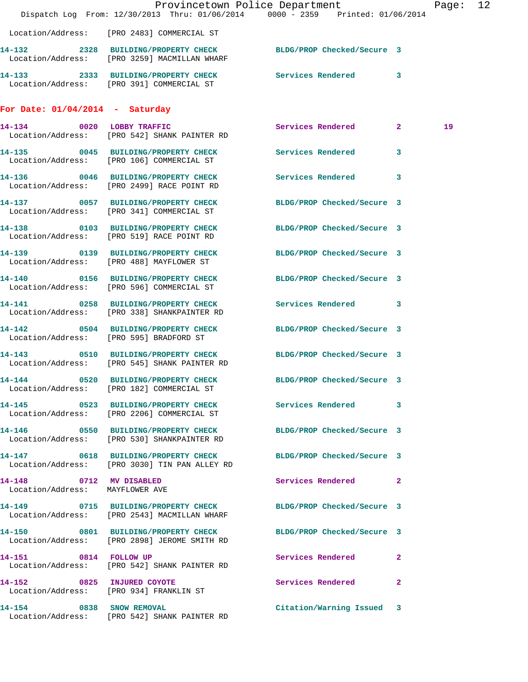|                                                            |                                                                                                                | Provincetown Police Department                                                 | Page: 12 |
|------------------------------------------------------------|----------------------------------------------------------------------------------------------------------------|--------------------------------------------------------------------------------|----------|
|                                                            |                                                                                                                | Dispatch Log From: 12/30/2013 Thru: 01/06/2014 0000 - 2359 Printed: 01/06/2014 |          |
|                                                            | Location/Address: [PRO 2483] COMMERCIAL ST                                                                     |                                                                                |          |
|                                                            | 14-132 2328 BUILDING/PROPERTY CHECK BLDG/PROP Checked/Secure 3<br>Location/Address: [PRO 3259] MACMILLAN WHARF |                                                                                |          |
|                                                            | Location/Address: [PRO 391] COMMERCIAL ST                                                                      |                                                                                |          |
| For Date: $01/04/2014$ - Saturday                          |                                                                                                                |                                                                                |          |
|                                                            | 14-134 0020 LOBBY TRAFFIC<br>Location/Address: [PRO 542] SHANK PAINTER RD                                      | Services Rendered 2                                                            | 19       |
|                                                            | 14-135 0045 BUILDING/PROPERTY CHECK<br>Location/Address: [PRO 106] COMMERCIAL ST                               | Services Rendered<br>3                                                         |          |
|                                                            | 14-136 0046 BUILDING/PROPERTY CHECK<br>Location/Address: [PRO 2499] RACE POINT RD                              | <b>Services Rendered</b><br>3                                                  |          |
|                                                            | 14-137 0057 BUILDING/PROPERTY CHECK<br>Location/Address: [PRO 341] COMMERCIAL ST                               | BLDG/PROP Checked/Secure 3                                                     |          |
|                                                            | 14-138 0103 BUILDING/PROPERTY CHECK<br>Location/Address: [PRO 519] RACE POINT RD                               | BLDG/PROP Checked/Secure 3                                                     |          |
|                                                            | 14-139 0139 BUILDING/PROPERTY CHECK<br>Location/Address: [PRO 488] MAYFLOWER ST                                | BLDG/PROP Checked/Secure 3                                                     |          |
|                                                            | 14-140 0156 BUILDING/PROPERTY CHECK<br>Location/Address: [PRO 596] COMMERCIAL ST                               | BLDG/PROP Checked/Secure 3                                                     |          |
|                                                            | 14-141 0258 BUILDING/PROPERTY CHECK<br>Location/Address: [PRO 338] SHANKPAINTER RD                             | Services Rendered 3                                                            |          |
|                                                            | 14-142 0504 BUILDING/PROPERTY CHECK<br>Location/Address: [PRO 595] BRADFORD ST                                 | BLDG/PROP Checked/Secure 3                                                     |          |
|                                                            | 14-143 0510 BUILDING/PROPERTY CHECK<br>Location/Address: [PRO 545] SHANK PAINTER RD                            | BLDG/PROP Checked/Secure 3                                                     |          |
|                                                            | 14-144 0520 BUILDING/PROPERTY CHECK BLDG/PROP Checked/Secure 3<br>Location/Address: [PRO 182] COMMERCIAL ST    |                                                                                |          |
|                                                            | 14-145 0523 BUILDING/PROPERTY CHECK<br>Location/Address: [PRO 2206] COMMERCIAL ST                              | Services Rendered 3                                                            |          |
|                                                            | 14-146 0550 BUILDING/PROPERTY CHECK<br>Location/Address: [PRO 530] SHANKPAINTER RD                             | BLDG/PROP Checked/Secure 3                                                     |          |
|                                                            | 14-147 0618 BUILDING/PROPERTY CHECK<br>Location/Address: [PRO 3030] TIN PAN ALLEY RD                           | BLDG/PROP Checked/Secure 3                                                     |          |
| 14-148 0712 MV DISABLED<br>Location/Address: MAYFLOWER AVE |                                                                                                                | Services Rendered 2                                                            |          |
|                                                            | 14-149 0715 BUILDING/PROPERTY CHECK<br>Location/Address: [PRO 2543] MACMILLAN WHARF                            | BLDG/PROP Checked/Secure 3                                                     |          |
|                                                            | 14-150 0801 BUILDING/PROPERTY CHECK<br>Location/Address: [PRO 2898] JEROME SMITH RD                            | BLDG/PROP Checked/Secure 3                                                     |          |
| 14-151 0814 FOLLOW UP                                      | Location/Address: [PRO 542] SHANK PAINTER RD                                                                   | Services Rendered<br>$\mathbf{2}$                                              |          |
| 14-152 0825 INJURED COYOTE                                 | Location/Address: [PRO 934] FRANKLIN ST                                                                        | Services Rendered<br>$\mathbf{2}$                                              |          |
| 14-154 0838 SNOW REMOVAL                                   | Location/Address: [PRO 542] SHANK PAINTER RD                                                                   | Citation/Warning Issued 3                                                      |          |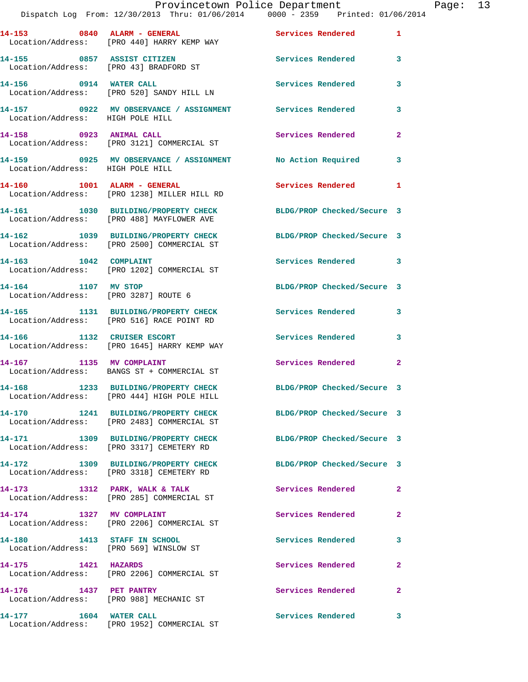|                                  | Provincetown Police Department The Page: 13<br>Dispatch Log From: 12/30/2013 Thru: 01/06/2014   0000 - 2359   Printed: 01/06/2014 |                            |              |  |
|----------------------------------|-----------------------------------------------------------------------------------------------------------------------------------|----------------------------|--------------|--|
|                                  | 14-153 0840 ALARM - GENERAL Services Rendered 1<br>Location/Address: [PRO 440] HARRY KEMP WAY                                     |                            |              |  |
|                                  | 14-155 0857 ASSIST CITIZEN<br>Location/Address: [PRO 43] BRADFORD ST                                                              | Services Rendered 3        |              |  |
|                                  | 14-156 0914 WATER CALL<br>Location/Address: [PRO 520] SANDY HILL LN                                                               | Services Rendered          | 3            |  |
| Location/Address: HIGH POLE HILL | 14-157 0922 MV OBSERVANCE / ASSIGNMENT Services Rendered                                                                          |                            | 3            |  |
|                                  | 14-158 0923 ANIMAL CALL<br>Location/Address: [PRO 3121] COMMERCIAL ST                                                             | Services Rendered          | $\mathbf{2}$ |  |
| Location/Address: HIGH POLE HILL | 14-159 0925 MV OBSERVANCE / ASSIGNMENT No Action Required                                                                         |                            | 3            |  |
|                                  | 14-160 1001 ALARM - GENERAL<br>Location/Address: [PRO 1238] MILLER HILL RD                                                        | Services Rendered 1        |              |  |
|                                  | 14-161 1030 BUILDING/PROPERTY CHECK BLDG/PROP Checked/Secure 3<br>Location/Address: [PRO 488] MAYFLOWER AVE                       |                            |              |  |
|                                  | 14-162 1039 BUILDING/PROPERTY CHECK BLDG/PROP Checked/Secure 3<br>Location/Address: [PRO 2500] COMMERCIAL ST                      |                            |              |  |
|                                  | 14-163 1042 COMPLAINT<br>Location/Address: [PRO 1202] COMMERCIAL ST                                                               | Services Rendered 3        |              |  |
| 14-164 1107 MV STOP              | Location/Address: [PRO 3287] ROUTE 6                                                                                              | BLDG/PROP Checked/Secure 3 |              |  |
|                                  | 14-165 1131 BUILDING/PROPERTY CHECK Services Rendered 3<br>Location/Address: [PRO 516] RACE POINT RD                              |                            |              |  |
|                                  | 14-166 1132 CRUISER ESCORT<br>Location/Address: [PRO 1645] HARRY KEMP WAY                                                         | Services Rendered 3        |              |  |
|                                  | 14-167 1135 MV COMPLAINT<br>Location/Address: BANGS ST + COMMERCIAL ST                                                            | Services Rendered          | $\mathbf{2}$ |  |
|                                  | 14-168 1233 BUILDING/PROPERTY CHECK<br>Location/Address: [PRO 444] HIGH POLE HILL                                                 | BLDG/PROP Checked/Secure 3 |              |  |
|                                  | 14-170 1241 BUILDING/PROPERTY CHECK BLDG/PROP Checked/Secure 3<br>Location/Address: [PRO 2483] COMMERCIAL ST                      |                            |              |  |
|                                  | 14-171 1309 BUILDING/PROPERTY CHECK<br>Location/Address: [PRO 3317] CEMETERY RD                                                   | BLDG/PROP Checked/Secure 3 |              |  |
|                                  | 14-172 1309 BUILDING/PROPERTY CHECK<br>Location/Address: [PRO 3318] CEMETERY RD                                                   | BLDG/PROP Checked/Secure 3 |              |  |
|                                  | 14-173 1312 PARK, WALK & TALK<br>Location/Address: [PRO 285] COMMERCIAL ST                                                        | Services Rendered          | $\mathbf{2}$ |  |
|                                  | 14-174 1327 MV COMPLAINT<br>Location/Address: [PRO 2206] COMMERCIAL ST                                                            | Services Rendered          | 2            |  |
|                                  | 14-180 1413 STAFF IN SCHOOL<br>Location/Address: [PRO 569] WINSLOW ST                                                             | Services Rendered          | 3            |  |
| 14-175 1421 HAZARDS              | Location/Address: [PRO 2206] COMMERCIAL ST                                                                                        | Services Rendered          | 2            |  |
| 14-176 1437 PET PANTRY           | Location/Address: [PRO 988] MECHANIC ST                                                                                           | Services Rendered          | $\mathbf{2}$ |  |
|                                  | 14-177 1604 WATER CALL<br>Location/Address: [PRO 1952] COMMERCIAL ST                                                              | Services Rendered          | 3            |  |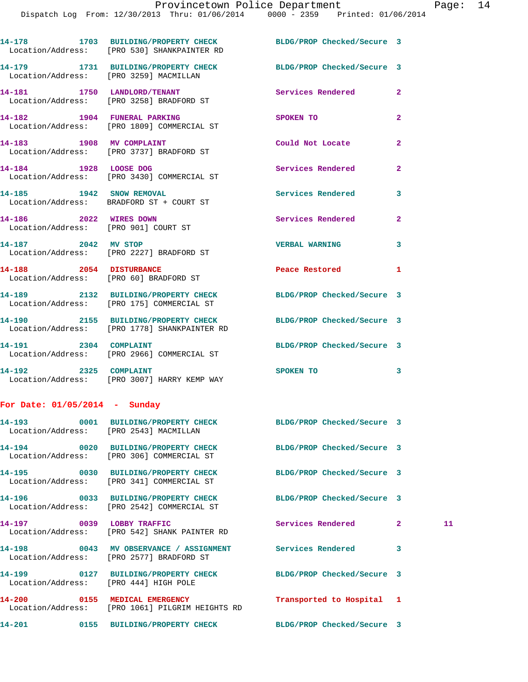Dispatch Log From: 12/30/2013 Thru: 01/06/2014 0000 - 2359 Printed: 01/06/2014

| 14-178            | 1703 BUILDING/PROPERTY CHECK | BLDG/PROP Checked/Secure 3 |  |
|-------------------|------------------------------|----------------------------|--|
| Location/Address: | [PRO 530] SHANKPAINTER RD    |                            |  |

**14-179 1731 BUILDING/PROPERTY CHECK BLDG/PROP Checked/Secure 3**  Location/Address: [PRO 3259] MACMILLAN

Location/Address: [PRO 175] COMMERCIAL ST

**14-192 2325 COMPLAINT SPOKEN TO 3**  Location/Address: [PRO 3007] HARRY KEMP WAY

## **For Date: 01/05/2014 - Sunday**

| Location/Address: [PRO 2543] MACMILLAN |                                                                                                                    |                           |             |    |
|----------------------------------------|--------------------------------------------------------------------------------------------------------------------|---------------------------|-------------|----|
|                                        | 14-194 		 0020 BUILDING/PROPERTY CHECK 			BLDG/PROP Checked/Secure 3<br>Location/Address: [PRO 306] COMMERCIAL ST  |                           |             |    |
|                                        | 14-195 0030 BUILDING/PROPERTY CHECK BLDG/PROP Checked/Secure 3<br>Location/Address: [PRO 341] COMMERCIAL ST        |                           |             |    |
|                                        | 14-196 		 0033 BUILDING/PROPERTY CHECK 			BLDG/PROP Checked/Secure 3<br>Location/Address: [PRO 2542] COMMERCIAL ST |                           |             |    |
|                                        | 14-197 0039 LOBBY TRAFFIC<br>Location/Address: [PRO 542] SHANK PAINTER RD                                          | <b>Services Rendered</b>  | $2^{\circ}$ | 11 |
|                                        | 14-198 60043 MV OBSERVANCE / ASSIGNMENT Services Rendered<br>Location/Address: [PRO 2577] BRADFORD ST              |                           | 3           |    |
| Location/Address: [PRO 444] HIGH POLE  | 14-199 			 0127 BUILDING/PROPERTY CHECK 				BLDG/PROP Checked/Secure 3                                             |                           |             |    |
|                                        | 14-200 0155 MEDICAL EMERGENCY<br>Location/Address: [PRO 1061] PILGRIM HEIGHTS RD                                   | Transported to Hospital 1 |             |    |
|                                        | 14-201 0155 BUILDING/PROPERTY CHECK BLDG/PROP Checked/Secure 3                                                     |                           |             |    |

## **14-181 1750 LANDLORD/TENANT Services Rendered 2**  Location/Address: [PRO 3258] BRADFORD ST

**14-182 1904 FUNERAL PARKING SPOKEN TO 2**  Location/Address: [PRO 1809] COMMERCIAL ST

**14-183 1908 MV COMPLAINT Could Not Locate 2**  Location/Address: [PRO 3737] BRADFORD ST

14-184 1928 LOOSE DOG Services Rendered 2 Location/Address: [PRO 3430] COMMERCIAL ST

Location/Address: BRADFORD ST + COURT ST

**14-186 2022 WIRES DOWN Services Rendered 2**  Location/Address: [PRO 901] COURT ST

**14-187 2042 MV STOP VERBAL WARNING 3** 

**14-190 2155 BUILDING/PROPERTY CHECK BLDG/PROP Checked/Secure 3** 

**14-191 2304 COMPLAINT BLDG/PROP Checked/Secure 3** 

Location/Address: [PRO 2227] BRADFORD ST

Location/Address: [PRO 60] BRADFORD ST

**14-189 2132 BUILDING/PROPERTY CHECK BLDG/PROP Checked/Secure 3** 

Location/Address: [PRO 1778] SHANKPAINTER RD

Location/Address: [PRO 2966] COMMERCIAL ST

**14-185 1942 SNOW REMOVAL Services Rendered 3** 

**14-188 2054 DISTURBANCE Peace Restored 1**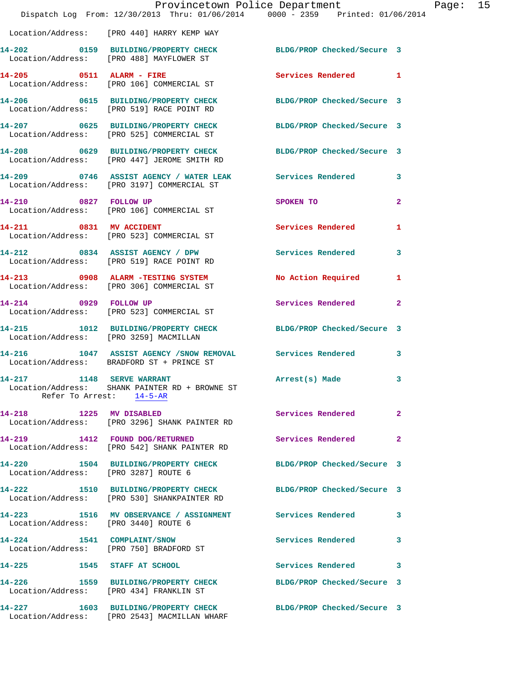|                                                   | Provincetown Police Department<br>Dispatch Log From: 12/30/2013 Thru: 01/06/2014 0000 - 2359 Printed: 01/06/2014 |                            |              |
|---------------------------------------------------|------------------------------------------------------------------------------------------------------------------|----------------------------|--------------|
|                                                   | Location/Address: [PRO 440] HARRY KEMP WAY                                                                       |                            |              |
|                                                   | 14-202 0159 BUILDING/PROPERTY CHECK<br>Location/Address: [PRO 488] MAYFLOWER ST                                  | BLDG/PROP Checked/Secure 3 |              |
|                                                   | 14-205 0511 ALARM - FIRE<br>Location/Address: [PRO 106] COMMERCIAL ST                                            | Services Rendered          | 1            |
|                                                   | 14-206 0615 BUILDING/PROPERTY CHECK<br>Location/Address: [PRO 519] RACE POINT RD                                 | BLDG/PROP Checked/Secure 3 |              |
|                                                   | 14-207 0625 BUILDING/PROPERTY CHECK BLDG/PROP Checked/Secure 3<br>Location/Address: [PRO 525] COMMERCIAL ST      |                            |              |
|                                                   | 14-208 0629 BUILDING/PROPERTY CHECK BLDG/PROP Checked/Secure 3<br>Location/Address: [PRO 447] JEROME SMITH RD    |                            |              |
|                                                   | 14-209 0746 ASSIST AGENCY / WATER LEAK Services Rendered<br>Location/Address: [PRO 3197] COMMERCIAL ST           |                            | 3            |
| 14-210 0827 FOLLOW UP                             | Location/Address: [PRO 106] COMMERCIAL ST                                                                        | SPOKEN TO                  | $\mathbf{2}$ |
|                                                   | 14-211 0831 MV ACCIDENT<br>Location/Address: [PRO 523] COMMERCIAL ST                                             | <b>Services Rendered</b>   | 1            |
|                                                   | 14-212 0834 ASSIST AGENCY / DPW<br>Location/Address: [PRO 519] RACE POINT RD                                     | <b>Services Rendered</b>   | 3            |
|                                                   | 14-213 0908 ALARM -TESTING SYSTEM<br>Location/Address: [PRO 306] COMMERCIAL ST                                   | <b>No Action Required</b>  | 1            |
| 14-214 0929 FOLLOW UP                             | Location/Address: [PRO 523] COMMERCIAL ST                                                                        | Services Rendered          | $\mathbf{2}$ |
| Location/Address: [PRO 3259] MACMILLAN            | 14-215 1012 BUILDING/PROPERTY CHECK                                                                              | BLDG/PROP Checked/Secure 3 |              |
|                                                   | 14-216 1047 ASSIST AGENCY / SNOW REMOVAL Services Rendered<br>Location/Address: BRADFORD ST + PRINCE ST          |                            | 3            |
| 1148 SERVE WARRANT<br>14-217                      | Location/Address: SHANK PAINTER RD + BROWNE ST<br>Refer To Arrest: 14-5-AR                                       | Arrest(s) Made             | 3            |
| 1225 MV DISABLED<br>14-218                        | Location/Address: [PRO 3296] SHANK PAINTER RD                                                                    | Services Rendered          | 2            |
|                                                   | 14-219 1412 FOUND DOG/RETURNED<br>Location/Address: [PRO 542] SHANK PAINTER RD                                   | Services Rendered          | $\mathbf{2}$ |
| Location/Address: [PRO 3287] ROUTE 6              | 14-220 1504 BUILDING/PROPERTY CHECK                                                                              | BLDG/PROP Checked/Secure 3 |              |
| 14-222                                            | 1510 BUILDING/PROPERTY CHECK<br>Location/Address: [PRO 530] SHANKPAINTER RD                                      | BLDG/PROP Checked/Secure 3 |              |
| Location/Address: [PRO 3440] ROUTE 6              | 14-223 1516 MV OBSERVANCE / ASSIGNMENT                                                                           | <b>Services Rendered</b>   | 3            |
| 14-224 1541 COMPLAINT/SNOW                        | Location/Address: [PRO 750] BRADFORD ST                                                                          | Services Rendered          | 3            |
| 14-225 1545 STAFF AT SCHOOL                       |                                                                                                                  | <b>Services Rendered</b>   | 3            |
| 14-226<br>Location/Address: [PRO 434] FRANKLIN ST | 1559 BUILDING/PROPERTY CHECK                                                                                     | BLDG/PROP Checked/Secure 3 |              |
|                                                   | 14-227 1603 BUILDING/PROPERTY CHECK<br>Location/Address: [PRO 2543] MACMILLAN WHARF                              | BLDG/PROP Checked/Secure 3 |              |

Page:  $15$ <br> $14$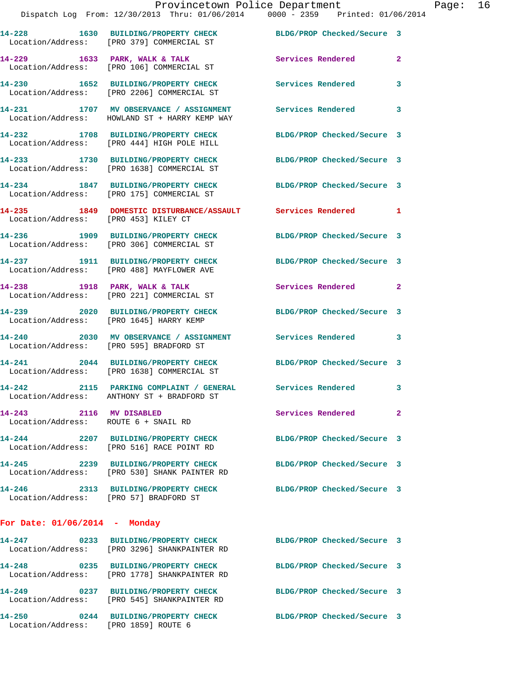**14-231 1707 MV OBSERVANCE / ASSIGNMENT Services Rendered 3**  Location/Address: HOWLAND ST + HARRY KEMP WAY

Location/Address: [PRO 2206] COMMERCIAL ST

**14-232 1708 BUILDING/PROPERTY CHECK BLDG/PROP Checked/Secure 3**  Location/Address: [PRO 444] HIGH POLE HILL

**14-233 1730 BUILDING/PROPERTY CHECK BLDG/PROP Checked/Secure 3**  Location/Address: [PRO 1638] COMMERCIAL ST

**14-234 1847 BUILDING/PROPERTY CHECK BLDG/PROP Checked/Secure 3**  Location/Address: [PRO 175] COMMERCIAL ST

**14-235 1849 DOMESTIC DISTURBANCE/ASSAULT Services Rendered 1**  Location/Address: [PRO 453] KILEY CT

**14-236 1909 BUILDING/PROPERTY CHECK BLDG/PROP Checked/Secure 3**  Location/Address: [PRO 306] COMMERCIAL ST

**14-237 1911 BUILDING/PROPERTY CHECK BLDG/PROP Checked/Secure 3**  Location/Address: [PRO 488] MAYFLOWER AVE

14-238 1918 PARK, WALK & TALK **Services Rendered** 2 Location/Address: [PRO 221] COMMERCIAL ST

**14-239 2020 BUILDING/PROPERTY CHECK BLDG/PROP Checked/Secure 3**  Location/Address: [PRO 1645] HARRY KEMP

**14-240 2030 MV OBSERVANCE / ASSIGNMENT Services Rendered 3**  Location/Address: [PRO 595] BRADFORD ST

**14-241 2044 BUILDING/PROPERTY CHECK BLDG/PROP Checked/Secure 3**  Location/Address: [PRO 1638] COMMERCIAL ST

**14-242 2115 PARKING COMPLAINT / GENERAL Services Rendered 3**  Location/Address: ANTHONY ST + BRADFORD ST

**14-243 2116 MV DISABLED Services Rendered 2**  Location/Address: ROUTE 6 + SNAIL RD

**14-244 2207 BUILDING/PROPERTY CHECK BLDG/PROP Checked/Secure 3**  Location/Address: [PRO 516] RACE POINT RD

**14-245 2239 BUILDING/PROPERTY CHECK BLDG/PROP Checked/Secure 3**  Location/Address: [PRO 530] SHANK PAINTER RD

Location/Address: [PRO 57] BRADFORD ST

**14-246 2313 BUILDING/PROPERTY CHECK BLDG/PROP Checked/Secure 3** 

**For Date: 01/06/2014 - Monday**

| $14 - 247$<br>Location/Address: | 0233 | <b>BUILDING/PROPERTY CHECK</b><br>[PRO 3296] SHANKPAINTER RD | BLDG/PROP Checked/Secure 3 |  |
|---------------------------------|------|--------------------------------------------------------------|----------------------------|--|
| 14-248<br>Location/Address:     | 0235 | <b>BUILDING/PROPERTY CHECK</b><br>[PRO 1778] SHANKPAINTER RD | BLDG/PROP Checked/Secure 3 |  |
| 14-249<br>Location/Address:     | 0237 | <b>BUILDING/PROPERTY CHECK</b><br>[PRO 545] SHANKPAINTER RD  | BLDG/PROP Checked/Secure 3 |  |
| 14-250<br>Location/Address:     | 0244 | <b>BUILDING/PROPERTY CHECK</b><br>[PRO 1859] ROUTE 6         | BLDG/PROP Checked/Secure 3 |  |